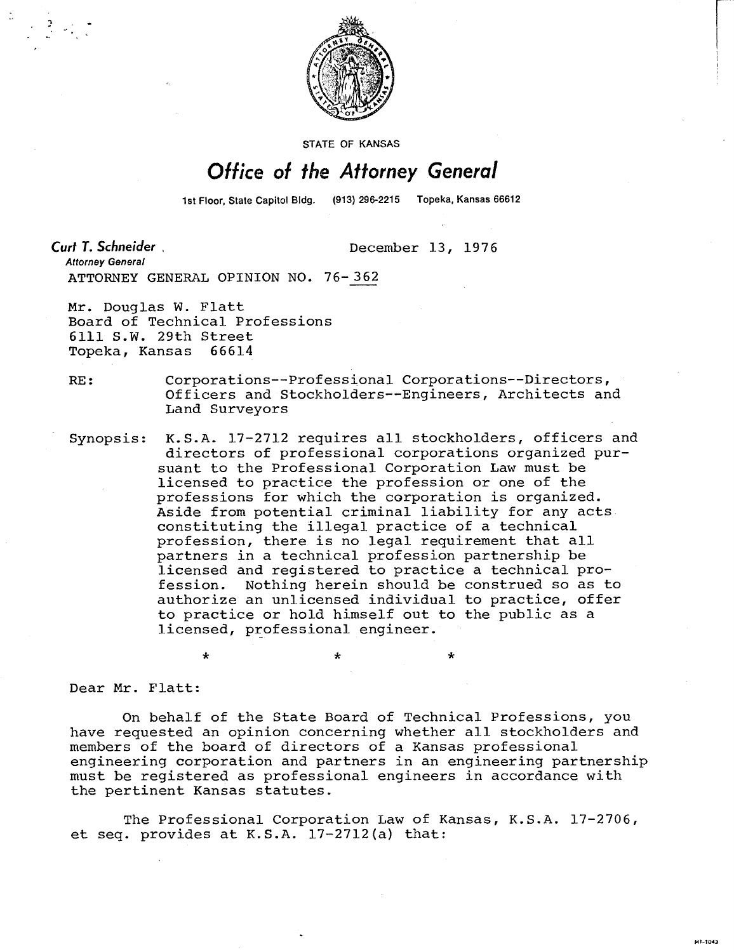

STATE OF KANSAS

## Office of the Attorney General

1st Floor, State Capitol Bidg.

Curt T. Schneider

December 13, 1976

 $\star$ 

**Attorney General** ATTORNEY GENERAL OPINION NO. 76-362

Mr. Douglas W. Flatt Board of Technical Professions 6111 S.W. 29th Street Topeka, Kansas 66614

\*

RE: Corporations--Professional Corporations--Directors, Officers and Stockholders--Engineers, Architects and Land Surveyors

Synopsis: K.S.A. 17-2712 requires all stockholders, officers and directors of professional corporations organized pursuant to the Professional Corporation Law must be licensed to practice the profession or one of the professions for which the corporation is organized. Aside from potential criminal liability for any acts constituting the illegal practice of a technical profession, there is no legal requirement that all partners in a technical profession partnership be licensed and registered to practice a technical profession. Nothing herein should be construed so as to authorize an unlicensed individual to practice, offer to practice or hold himself out to the public as a licensed, professional engineer.

÷

Dear Mr. Flatt:

On behalf of the State Board of Technical Professions, you have requested an opinion concerning whether all stockholders and members of the board of directors of a Kansas professional engineering corporation and partners in an engineering partnership must be registered as professional engineers in accordance with the pertinent Kansas statutes.

The Professional Corporation Law of Kansas, K.S.A. 17-2706, et seq. provides at K.S.A. 17-2712(a) that: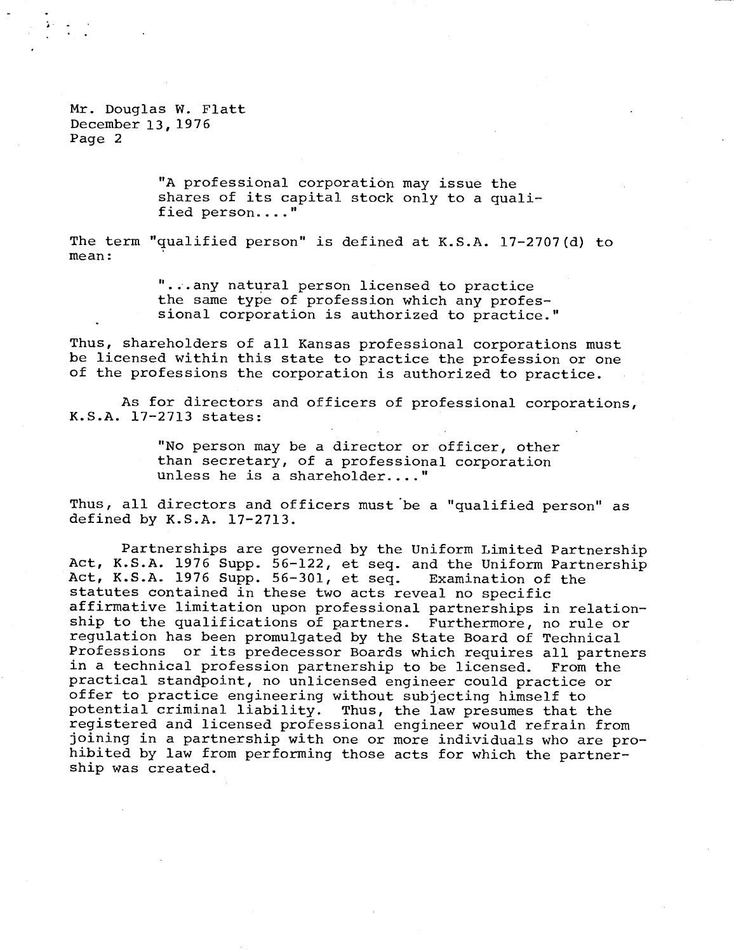Mr. Douglas W. Flatt December 13, 1976 Page 2

> "A professional corporation may issue the shares of its capital stock only to a qualified person...."

The term "qualified person" is defined at K.S.A. 17-2707(d) to mean:

> "...any natural person licensed to practice the same type of profession which any professional corporation is authorized to practice."

Thus, shareholders of all Kansas professional corporations must be licensed within this state to practice the profession or one of the professions the corporation is authorized to practice.

As for directors and officers of professional corporations, K.S.A. 17-2713 states:

> "No person may be a director or officer, other than secretary, of a professional corporation unless he is a shareholder...."

Thus, all directors and officers must be a "qualified person" as defined by K.S.A. 17-2713.

Partnerships are governed by the Uniform Limited Partnership Act, K.S.A. 1976 Supp. 56-122, et seq. and the Uniform Partnership Act, K.S.A. 1976 Supp. 56-301, et seq. Examination of the statutes contained in these two acts reveal no specific affirmative limitation upon professional partnerships in relationship to the qualifications of partners. Furthermore, no rule or regulation has been promulgated by the State Board of Technical Professions or its predecessor Boards which requires all partners in a technical profession partnership to be licensed. From the practical standpoint, no unlicensed engineer could practice or offer to practice engineering without subjecting himself to potential criminal liability. Thus, the law presumes that the registered and licensed professional engineer would refrain from joining in a partnership with one or more individuals who are prohibited by law from performing those acts for which the partnership was created.